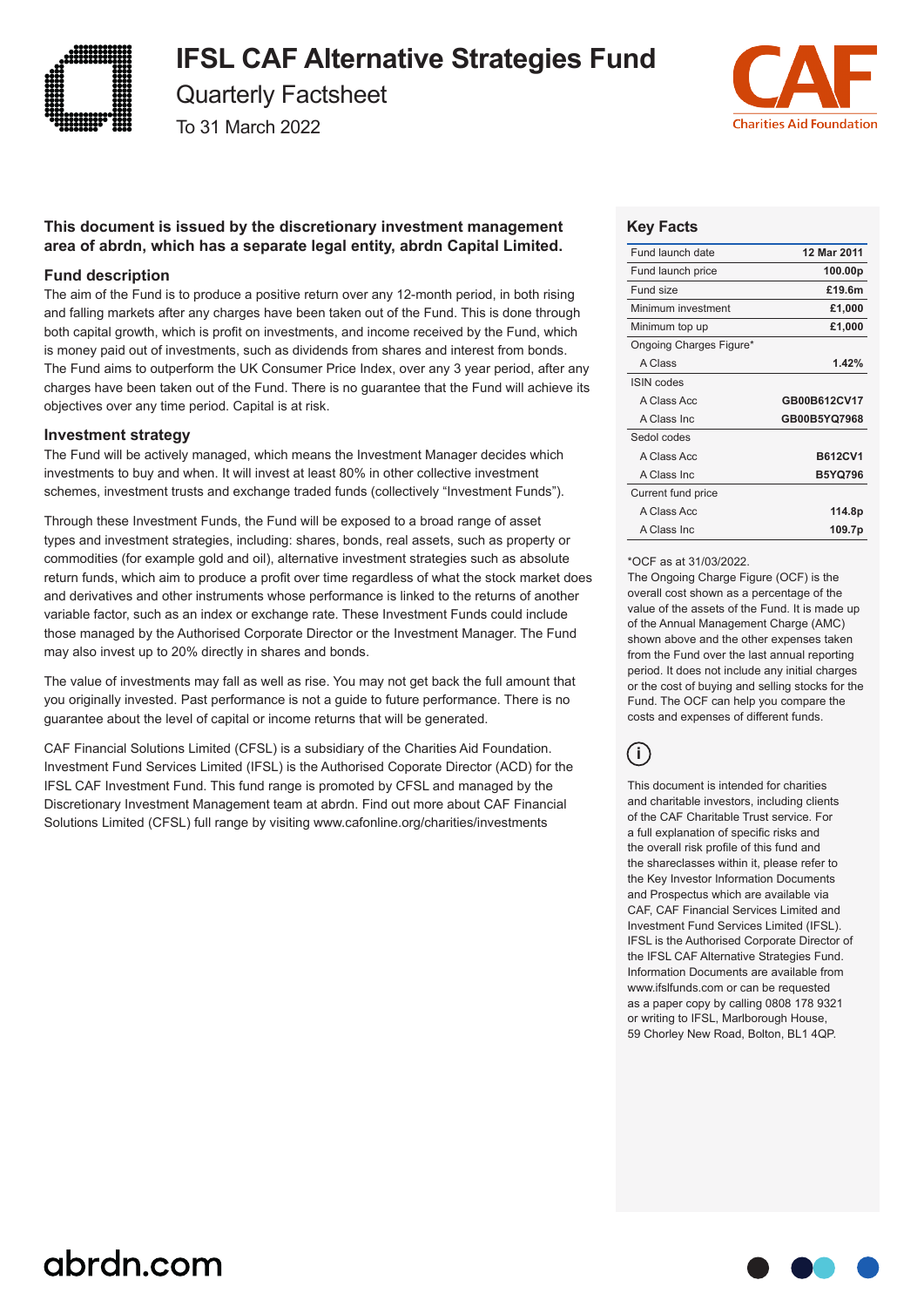

# **IFSL CAF Alternative Strategies Fund**

Quarterly Factsheet

To 31 March 2022



# **This document is issued by the discretionary investment management area of abrdn, which has a separate legal entity, abrdn Capital Limited.**

# **Fund description**

The aim of the Fund is to produce a positive return over any 12-month period, in both rising and falling markets after any charges have been taken out of the Fund. This is done through both capital growth, which is profit on investments, and income received by the Fund, which is money paid out of investments, such as dividends from shares and interest from bonds. The Fund aims to outperform the UK Consumer Price Index, over any 3 year period, after any charges have been taken out of the Fund. There is no guarantee that the Fund will achieve its objectives over any time period. Capital is at risk.

### **Investment strategy**

The Fund will be actively managed, which means the Investment Manager decides which investments to buy and when. It will invest at least 80% in other collective investment schemes, investment trusts and exchange traded funds (collectively "Investment Funds").

Through these Investment Funds, the Fund will be exposed to a broad range of asset types and investment strategies, including: shares, bonds, real assets, such as property or commodities (for example gold and oil), alternative investment strategies such as absolute return funds, which aim to produce a profit over time regardless of what the stock market does and derivatives and other instruments whose performance is linked to the returns of another variable factor, such as an index or exchange rate. These Investment Funds could include those managed by the Authorised Corporate Director or the Investment Manager. The Fund may also invest up to 20% directly in shares and bonds.

The value of investments may fall as well as rise. You may not get back the full amount that you originally invested. Past performance is not a guide to future performance. There is no guarantee about the level of capital or income returns that will be generated.

CAF Financial Solutions Limited (CFSL) is a subsidiary of the Charities Aid Foundation. Investment Fund Services Limited (IFSL) is the Authorised Coporate Director (ACD) for the IFSL CAF Investment Fund. This fund range is promoted by CFSL and managed by the Discretionary Investment Management team at abrdn. Find out more about CAF Financial Solutions Limited (CFSL) full range by visiting www.cafonline.org/charities/investments

## **Key Facts**

| Fund launch date        | 12 Mar 2011    |
|-------------------------|----------------|
| Fund launch price       | 100.00p        |
| Fund size               | £19.6m         |
| Minimum investment      | £1,000         |
| Minimum top up          | £1,000         |
| Ongoing Charges Figure* |                |
| A Class                 | 1.42%          |
| <b>ISIN</b> codes       |                |
|                         |                |
| A Class Acc             | GB00B612CV17   |
| A Class Inc.            | GB00B5YQ7968   |
| Sedol codes             |                |
| A Class Acc             | <b>B612CV1</b> |
| A Class Inc.            | <b>B5YQ796</b> |
| Current fund price      |                |
| A Class Acc             | 114.8p         |

#### \*OCF as at 31/03/2022.

The Ongoing Charge Figure (OCF) is the overall cost shown as a percentage of the value of the assets of the Fund. It is made up of the Annual Management Charge (AMC) shown above and the other expenses taken from the Fund over the last annual reporting period. It does not include any initial charges or the cost of buying and selling stocks for the Fund. The OCF can help you compare the costs and expenses of different funds.

# **i**

This document is intended for charities and charitable investors, including clients of the CAF Charitable Trust service. For a full explanation of specific risks and the overall risk profile of this fund and the shareclasses within it, please refer to the Key Investor Information Documents and Prospectus which are available via CAF, CAF Financial Services Limited and Investment Fund Services Limited (IFSL). IFSL is the Authorised Corporate Director of the IFSL CAF Alternative Strategies Fund. Information Documents are available from www.ifslfunds.com or can be requested as a paper copy by calling 0808 178 9321 or writing to IFSL, Marlborough House, 59 Chorley New Road, Bolton, BL1 4QP.

# abrdn.com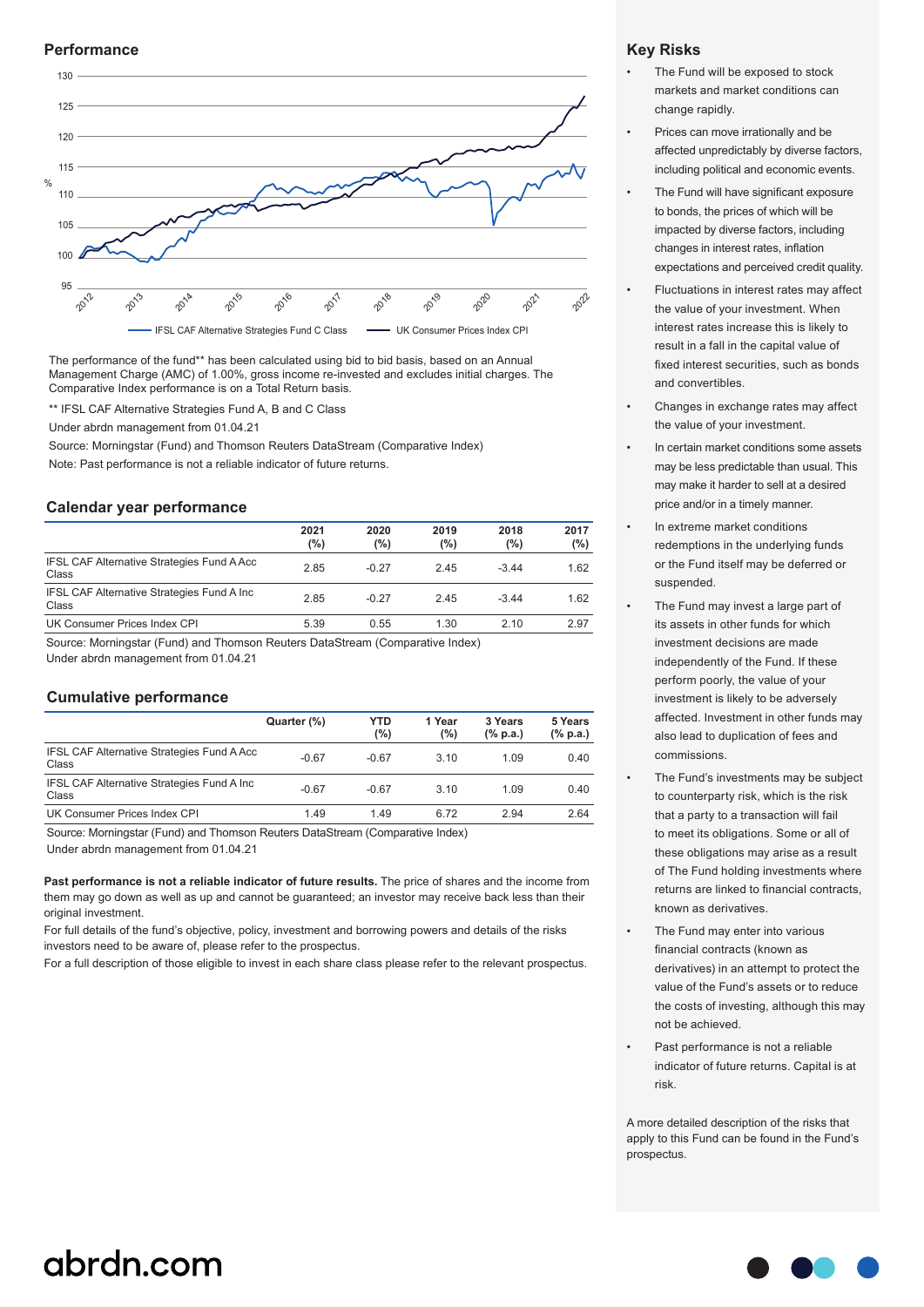#### **Performance**



The performance of the fund\*\* has been calculated using bid to bid basis, based on an Annual Management Charge (AMC) of 1.00%, gross income re-invested and excludes initial charges. The Comparative Index performance is on a Total Return basis.

\*\* IFSL CAF Alternative Strategies Fund A, B and C Class

Under abrdn management from 01.04.21

Source: Morningstar (Fund) and Thomson Reuters DataStream (Comparative Index) Note: Past performance is not a reliable indicator of future returns.

#### **Calendar year performance**

|                                                     | 2021<br>(%) | 2020<br>(%) | 2019<br>(%) | 2018<br>(%) | 2017<br>$(\%)$ |
|-----------------------------------------------------|-------------|-------------|-------------|-------------|----------------|
| IFSL CAF Alternative Strategies Fund A Acc<br>Class | 2.85        | $-0.27$     | 245         | $-344$      | 1.62           |
| IFSL CAF Alternative Strategies Fund A Inc<br>Class | 2.85        | $-0.27$     | 245         | $-3.44$     | 1.62           |
| UK Consumer Prices Index CPI                        | 5.39        | 0.55        | 1.30        | 2.10        | 2.97           |

Source: Morningstar (Fund) and Thomson Reuters DataStream (Comparative Index)

Under abrdn management from 01.04.21

#### **Cumulative performance**

|                                                             | Quarter (%) | YTD<br>(%) | 1 Year<br>(%) | 3 Years<br>$(\%$ p.a.) | 5 Years<br>$(\%$ p.a.) |
|-------------------------------------------------------------|-------------|------------|---------------|------------------------|------------------------|
| <b>IFSL CAF Alternative Strategies Fund A Acc.</b><br>Class | $-0.67$     | $-0.67$    | 3.10          | 1.09                   | 0.40                   |
| IFSL CAF Alternative Strategies Fund A Inc<br>Class         | $-0.67$     | $-0.67$    | 3.10          | 1.09                   | 0.40                   |
| UK Consumer Prices Index CPI                                | 1.49        | 1.49       | 6.72          | 2.94                   | 2.64                   |

Source: Morningstar (Fund) and Thomson Reuters DataStream (Comparative Index)

Under abrdn management from 01.04.21

**Past performance is not a reliable indicator of future results.** The price of shares and the income from them may go down as well as up and cannot be guaranteed; an investor may receive back less than their original investment.

For full details of the fund's objective, policy, investment and borrowing powers and details of the risks investors need to be aware of, please refer to the prospectus.

For a full description of those eligible to invest in each share class please refer to the relevant prospectus.

#### **Key Risks**

- The Fund will be exposed to stock markets and market conditions can change rapidly.
- Prices can move irrationally and be affected unpredictably by diverse factors, including political and economic events.
- The Fund will have significant exposure to bonds, the prices of which will be impacted by diverse factors, including changes in interest rates, inflation expectations and perceived credit quality.
- Fluctuations in interest rates may affect the value of your investment. When interest rates increase this is likely to result in a fall in the capital value of fixed interest securities, such as bonds and convertibles.
- Changes in exchange rates may affect the value of your investment.
- In certain market conditions some assets may be less predictable than usual. This may make it harder to sell at a desired price and/or in a timely manner.
- In extreme market conditions redemptions in the underlying funds or the Fund itself may be deferred or suspended.
- The Fund may invest a large part of its assets in other funds for which investment decisions are made independently of the Fund. If these perform poorly, the value of your investment is likely to be adversely affected. Investment in other funds may also lead to duplication of fees and commissions.
- The Fund's investments may be subject to counterparty risk, which is the risk that a party to a transaction will fail to meet its obligations. Some or all of these obligations may arise as a result of The Fund holding investments where returns are linked to financial contracts, known as derivatives.
- The Fund may enter into various financial contracts (known as derivatives) in an attempt to protect the value of the Fund's assets or to reduce the costs of investing, although this may not be achieved.
- Past performance is not a reliable indicator of future returns. Capital is at risk.

A more detailed description of the risks that apply to this Fund can be found in the Fund's prospectus.

# abrdn.com